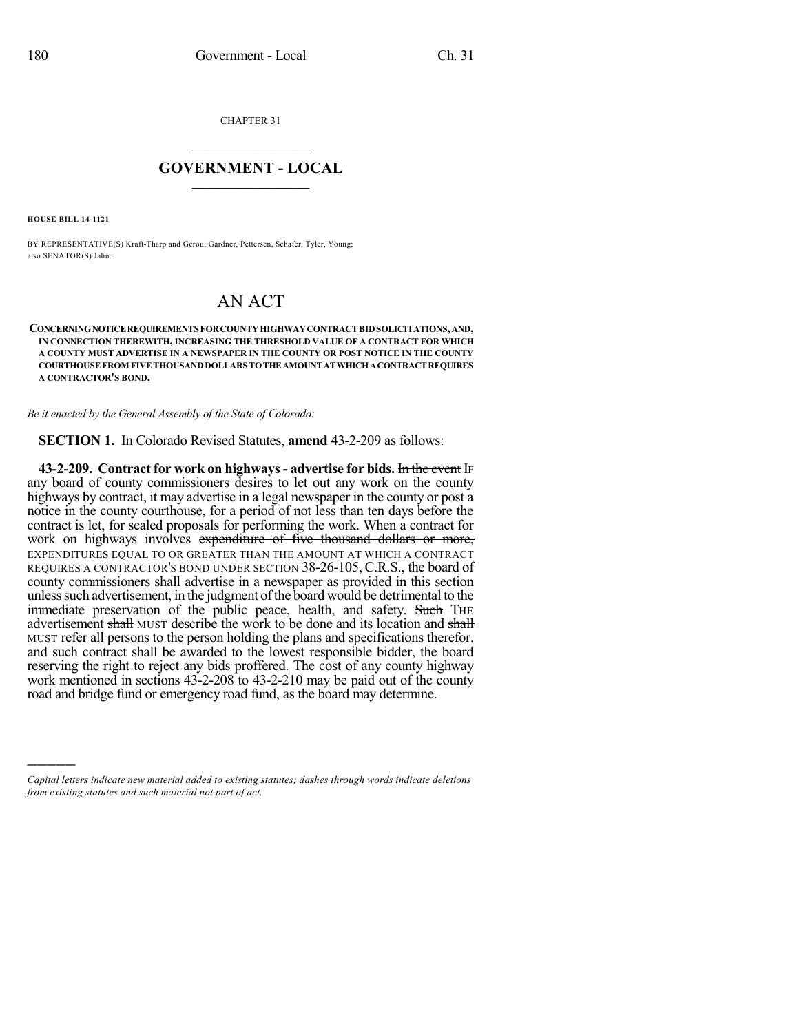CHAPTER 31

## $\overline{\phantom{a}}$  . The set of the set of the set of the set of the set of the set of the set of the set of the set of the set of the set of the set of the set of the set of the set of the set of the set of the set of the set o **GOVERNMENT - LOCAL**  $\_$

**HOUSE BILL 14-1121**

)))))

BY REPRESENTATIVE(S) Kraft-Tharp and Gerou, Gardner, Pettersen, Schafer, Tyler, Young; also SENATOR(S) Jahn.

## AN ACT

**CONCERNINGNOTICEREQUIREMENTS FORCOUNTYHIGHWAYCONTRACTBIDSOLICITATIONS,AND, IN CONNECTION THEREWITH, INCREASING THE THRESHOLD VALUE OF A CONTRACT FOR WHICH A COUNTY MUST ADVERTISE IN A NEWSPAPER IN THE COUNTY OR POST NOTICE IN THE COUNTY COURTHOUSEFROM FIVETHOUSANDDOLLARS TOTHEAMOUNTATWHICHACONTRACTREQUIRES A CONTRACTOR'S BOND.**

*Be it enacted by the General Assembly of the State of Colorado:*

**SECTION 1.** In Colorado Revised Statutes, **amend** 43-2-209 as follows:

**43-2-209. Contract for work on highways- advertise for bids.** In the event IF any board of county commissioners desires to let out any work on the county highways by contract, it may advertise in a legal newspaper in the county or post a notice in the county courthouse, for a period of not less than ten days before the contract is let, for sealed proposals for performing the work. When a contract for work on highways involves expenditure of five thousand dollars or more, EXPENDITURES EQUAL TO OR GREATER THAN THE AMOUNT AT WHICH A CONTRACT REQUIRES A CONTRACTOR'S BOND UNDER SECTION 38-26-105, C.R.S., the board of county commissioners shall advertise in a newspaper as provided in this section unless such advertisement, in the judgment of the board would be detrimental to the immediate preservation of the public peace, health, and safety. Such THE advertisement shall MUST describe the work to be done and its location and shall MUST refer all persons to the person holding the plans and specifications therefor. and such contract shall be awarded to the lowest responsible bidder, the board reserving the right to reject any bids proffered. The cost of any county highway work mentioned in sections 43-2-208 to 43-2-210 may be paid out of the county road and bridge fund or emergency road fund, as the board may determine.

*Capital letters indicate new material added to existing statutes; dashes through words indicate deletions from existing statutes and such material not part of act.*